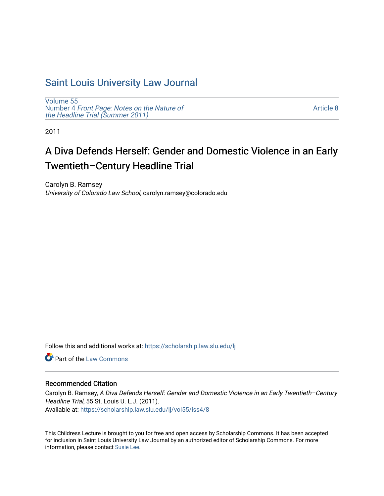## [Saint Louis University Law Journal](https://scholarship.law.slu.edu/lj)

[Volume 55](https://scholarship.law.slu.edu/lj/vol55) Number 4 [Front Page: Notes on the Nature of](https://scholarship.law.slu.edu/lj/vol55/iss4) [the Headline Trial \(Summer 2011\)](https://scholarship.law.slu.edu/lj/vol55/iss4)

[Article 8](https://scholarship.law.slu.edu/lj/vol55/iss4/8) 

2011

# A Diva Defends Herself: Gender and Domestic Violence in an Early Twentieth–Century Headline Trial

Carolyn B. Ramsey University of Colorado Law School, carolyn.ramsey@colorado.edu

Follow this and additional works at: [https://scholarship.law.slu.edu/lj](https://scholarship.law.slu.edu/lj?utm_source=scholarship.law.slu.edu%2Flj%2Fvol55%2Fiss4%2F8&utm_medium=PDF&utm_campaign=PDFCoverPages) 

**C** Part of the [Law Commons](http://network.bepress.com/hgg/discipline/578?utm_source=scholarship.law.slu.edu%2Flj%2Fvol55%2Fiss4%2F8&utm_medium=PDF&utm_campaign=PDFCoverPages)

## Recommended Citation

Carolyn B. Ramsey, A Diva Defends Herself: Gender and Domestic Violence in an Early Twentieth–Century Headline Trial, 55 St. Louis U. L.J. (2011). Available at: [https://scholarship.law.slu.edu/lj/vol55/iss4/8](https://scholarship.law.slu.edu/lj/vol55/iss4/8?utm_source=scholarship.law.slu.edu%2Flj%2Fvol55%2Fiss4%2F8&utm_medium=PDF&utm_campaign=PDFCoverPages) 

This Childress Lecture is brought to you for free and open access by Scholarship Commons. It has been accepted for inclusion in Saint Louis University Law Journal by an authorized editor of Scholarship Commons. For more information, please contact [Susie Lee](mailto:susie.lee@slu.edu).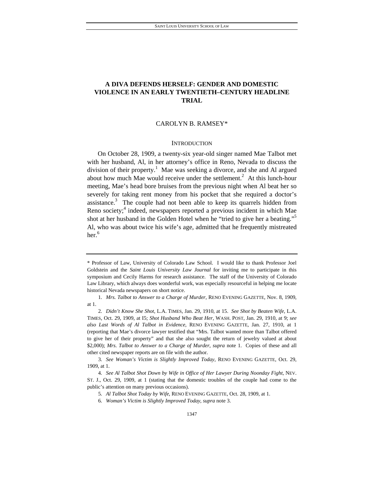## **A DIVA DEFENDS HERSELF: GENDER AND DOMESTIC VIOLENCE IN AN EARLY TWENTIETH–CENTURY HEADLINE TRIAL**

#### CAROLYN B. RAMSEY\*

#### **INTRODUCTION**

On October 28, 1909, a twenty-six year-old singer named Mae Talbot met with her husband, Al, in her attorney's office in Reno, Nevada to discuss the division of their property.<sup>1</sup> Mae was seeking a divorce, and she and Al argued about how much Mae would receive under the settlement.<sup>2</sup> At this lunch-hour meeting, Mae's head bore bruises from the previous night when Al beat her so severely for taking rent money from his pocket that she required a doctor's assistance.<sup>3</sup> The couple had not been able to keep its quarrels hidden from Reno society;<sup>4</sup> indeed, newspapers reported a previous incident in which Mae shot at her husband in the Golden Hotel when he "tried to give her a beating."<sup>5</sup> Al, who was about twice his wife's age, admitted that he frequently mistreated her. $6$ 

<sup>\*</sup> Professor of Law, University of Colorado Law School. I would like to thank Professor Joel Goldstein and the *Saint Louis University Law Journal* for inviting me to participate in this symposium and Cecily Harms for research assistance. The staff of the University of Colorado Law Library, which always does wonderful work, was especially resourceful in helping me locate historical Nevada newspapers on short notice.

<sup>1</sup>*. Mrs. Talbot to Answer to a Charge of Murder*, RENO EVENING GAZETTE, Nov. 8, 1909, at 1.

<sup>2</sup>*. Didn't Know She Shot*, L.A. TIMES, Jan. 29, 1910, at 15. *See Shot by Beaten Wife*, L.A. TIMES, Oct. 29, 1909, at I5; *Shot Husband Who Beat Her*, WASH. POST, Jan. 29, 1910, at 9; *see also Last Words of Al Talbot in Evidence*, RENO EVENING GAZETTE, Jan. 27, 1910, at 1 (reporting that Mae's divorce lawyer testified that "Mrs. Talbot wanted more than Talbot offered to give her of their property" and that she also sought the return of jewelry valued at about \$2,000); *Mrs. Talbot to Answer to a Charge of Murder*, *supra* note 1. Copies of these and all other cited newspaper reports are on file with the author.

<sup>3</sup>*. See Woman's Victim is Slightly Improved Today*, RENO EVENING GAZETTE, Oct. 29, 1909, at 1.

<sup>4</sup>*. See Al Talbot Shot Down by Wife in Office of Her Lawyer During Noonday Fight*, NEV. ST. J., Oct. 29, 1909, at 1 (stating that the domestic troubles of the couple had come to the public's attention on many previous occasions).

<sup>5</sup>*. Al Talbot Shot Today by Wife*, RENO EVENING GAZETTE, Oct. 28, 1909, at 1.

<sup>6</sup>*. Woman's Victim is Slightly Improved Today*, *supra* note 3.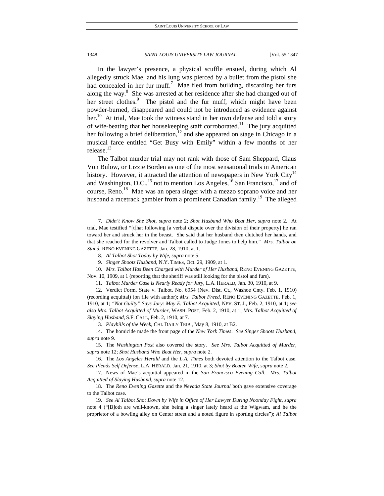In the lawyer's presence, a physical scuffle ensued, during which Al allegedly struck Mae, and his lung was pierced by a bullet from the pistol she had concealed in her fur muff.<sup>7</sup> Mae fled from building, discarding her furs along the way.<sup>8</sup> She was arrested at her residence after she had changed out of her street clothes.<sup>9</sup> The pistol and the fur muff, which might have been powder-burned, disappeared and could not be introduced as evidence against her.<sup>10</sup> At trial, Mae took the witness stand in her own defense and told a story of wife-beating that her housekeeping staff corroborated.<sup>11</sup> The jury acquitted her following a brief deliberation,<sup>12</sup> and she appeared on stage in Chicago in a musical farce entitled "Get Busy with Emily" within a few months of her release.<sup>13</sup>

The Talbot murder trial may not rank with those of Sam Sheppard, Claus Von Bulow, or Lizzie Borden as one of the most sensational trials in American history. However, it attracted the attention of newspapers in New York City<sup>14</sup> and Washington, D.C.,<sup>15</sup> not to mention Los Angeles,<sup>16</sup> San Francisco,<sup>17</sup> and of course, Reno.<sup>18</sup> Mae was an opera singer with a mezzo soprano voice and her husband a racetrack gambler from a prominent Canadian family.<sup>19</sup> The alleged

10*. Mrs. Talbot Has Been Charged with Murder of Her Husband*, RENO EVENING GAZETTE, Nov. 10, 1909, at 1 (reporting that the sheriff was still looking for the pistol and furs).

11*. Talbot Murder Case is Nearly Ready for Jury*, L.A. HERALD, Jan. 30, 1910, at 9.

 12. Verdict Form, State v. Talbot, No. 6954 (Nev. Dist. Ct., Washoe Cnty. Feb. 1, 1910) (recording acquittal) (on file with author); *Mrs. Talbot Freed*, RENO EVENING GAZETTE, Feb. 1, 1910, at 1; *"Not Guilty" Says Jury: May E. Talbot Acquitted*, NEV. ST. J., Feb. 2, 1910, at 1; *see also Mrs. Talbot Acquitted of Murder*, WASH. POST, Feb. 2, 1910, at 1; *Mrs. Talbot Acquitted of Slaying Husband*, S.F. CALL, Feb. 2, 1910, at 7.

13*. Playbills of the Week*, CHI. DAILY TRIB., May 8, 1910, at B2.

 15. The *Washington Post* also covered the story. *See Mrs. Talbot Acquitted of Murder*, *supra* note 12; *Shot Husband Who Beat Her*, *supra* note 2.

 16. The *Los Angeles Herald* and the *L.A. Times* both devoted attention to the Talbot case. *See Pleads Self Defense*, L.A. HERALD, Jan. 21, 1910, at 3; *Shot by Beaten Wife*, *supra* note 2.

 17. News of Mae's acquittal appeared in the *San Francisco Evening Call*. *Mrs. Talbot Acquitted of Slaying Husband*, *supra* note 12.

19*. See Al Talbot Shot Down by Wife in Office of Her Lawyer During Noonday Fight*, *supra* note 4 ("[B]oth are well-known, she being a singer lately heard at the Wigwam, and he the proprietor of a bowling alley on Center street and a noted figure in sporting circles"); *Al Talbot* 

<sup>7</sup>*. Didn't Know She Shot*, *supra* note 2; *Shot Husband Who Beat Her, supra* note 2. At trial, Mae testified "[t]hat following [a verbal dispute over the division of their property] he ran toward her and struck her in the breast. She said that her husband then clutched her hands, and that she reached for the revolver and Talbot called to Judge Jones to help him." *Mrs. Talbot on Stand*, RENO EVENING GAZETTE, Jan. 28, 1910, at 1.

<sup>8</sup>*. Al Talbot Shot Today by Wife*, *supra* note 5.

<sup>9</sup>*. Singer Shoots Husband*, N.Y. TIMES, Oct. 29, 1909, at 1.

 <sup>14.</sup> The homicide made the front page of the *New York Times*. *See Singer Shoots Husband*, *supra* note 9.

 <sup>18.</sup> The *Reno Evening Gazette* and the *Nevada State Journal* both gave extensive coverage to the Talbot case.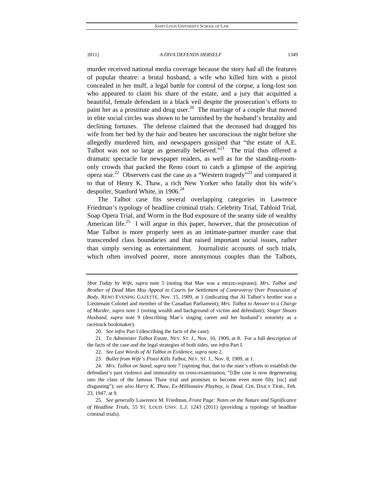murder received national media coverage because the story had all the features of popular theatre: a brutal husband, a wife who killed him with a pistol concealed in her muff, a legal battle for control of the corpse, a long-lost son who appeared to claim his share of the estate, and a jury that acquitted a beautiful, female defendant in a black veil despite the prosecution's efforts to paint her as a prostitute and drug user.<sup>20</sup> The marriage of a couple that moved in elite social circles was shown to be tarnished by the husband's brutality and declining fortunes. The defense claimed that the deceased had dragged his wife from her bed by the hair and beaten her unconscious the night before she allegedly murdered him, and newspapers gossiped that "the estate of A.E. Talbot was not so large as generally believed."<sup>21</sup> The trial thus offered a dramatic spectacle for newspaper readers, as well as for the standing-roomonly crowds that packed the Reno court to catch a glimpse of the aspiring opera star.<sup>22</sup> Observers cast the case as a "Western tragedy"<sup>23</sup> and compared it to that of Henry K. Thaw, a rich New Yorker who fatally shot his wife's despoiler, Stanford White, in  $1906.<sup>24</sup>$ 

The Talbot case fits several overlapping categories in Lawrence Friedman's typology of headline criminal trials: Celebrity Trial, Tabloid Trial, Soap Opera Trial, and Worm in the Bud exposure of the seamy side of wealthy American life.<sup>25</sup> I will argue in this paper, however, that the prosecution of Mae Talbot is more properly seen as an intimate-partner murder case that transcended class boundaries and that raised important social issues, rather than simply serving as entertainment. Journalistic accounts of such trials, which often involved poorer, more anonymous couples than the Talbots,

21*. To Administer Talbot Estate*, NEV. ST. J., Nov. 10, 1909, at 8. For a full description of the facts of the case and the legal strategies of both sides, see *infra* Part I.

- 22*. See Last Words of Al Talbot in Evidence*, *supra* note 2.
- 23*. Bullet from Wife's Pistol Kills Talbot*, NEV. ST. J., Nov. 8, 1909, at 1.

*Shot Today by Wife*, *supra* note 5 (noting that Mae was a mezzo-soprano); *Mrs. Talbot and Brother of Dead Man May Appeal to Courts for Settlement of Controversy Over Possession of Body*, RENO EVENING GAZETTE, Nov. 15, 1909, at 1 (indicating that Al Talbot's brother was a Lieutenant Colonel and member of the Canadian Parliament); *Mrs. Talbot to Answer to a Charge of Murder*, *supra* note 1 (noting wealth and background of victim and defendant); *Singer Shoots Husband*, *supra* note 9 (describing Mae's singing career and her husband's notoriety as a racetrack bookmaker).

<sup>20</sup>*. See infra* Part I (describing the facts of the case).

<sup>24</sup>*. Mrs. Talbot on Stand*, *supra* note 7 (opining that, due to the state's efforts to establish the defendant's past violence and immorality on cross-examination, "[t]he case is now degenerating into the class of the famous Thaw trial and promises to become even more filty [sic] and disgusting"); *see also Harry K. Thaw, Ex-Millionaire Playboy, is Dead*, CHI. DAILY TRIB., Feb. 23, 1947, at 9.

<sup>25</sup>*. See generally* Lawrence M. Friedman, *Front Page: Notes on the Nature and Significance of Headline Trials*, 55 ST. LOUIS UNIV. L.J. 1243 (2011) (providing a typology of headline criminal trials).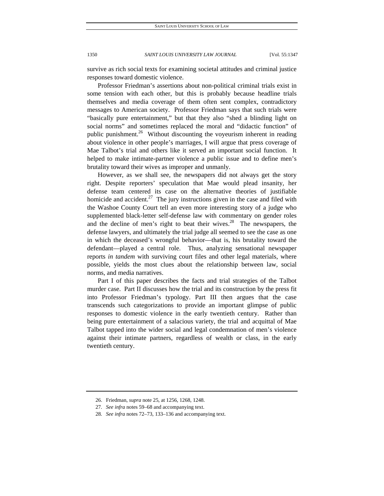survive as rich social texts for examining societal attitudes and criminal justice responses toward domestic violence.

Professor Friedman's assertions about non-political criminal trials exist in some tension with each other, but this is probably because headline trials themselves and media coverage of them often sent complex, contradictory messages to American society. Professor Friedman says that such trials were "basically pure entertainment," but that they also "shed a blinding light on social norms" and sometimes replaced the moral and "didactic function" of public punishment.<sup>26</sup> Without discounting the voyeurism inherent in reading about violence in other people's marriages, I will argue that press coverage of Mae Talbot's trial and others like it served an important social function. It helped to make intimate-partner violence a public issue and to define men's brutality toward their wives as improper and unmanly.

However, as we shall see, the newspapers did not always get the story right. Despite reporters' speculation that Mae would plead insanity, her defense team centered its case on the alternative theories of justifiable homicide and accident.<sup>27</sup> The jury instructions given in the case and filed with the Washoe County Court tell an even more interesting story of a judge who supplemented black-letter self-defense law with commentary on gender roles and the decline of men's right to beat their wives. $28$  The newspapers, the defense lawyers, and ultimately the trial judge all seemed to see the case as one in which the deceased's wrongful behavior—that is, his brutality toward the defendant—played a central role. Thus, analyzing sensational newspaper reports *in tandem* with surviving court files and other legal materials, where possible, yields the most clues about the relationship between law, social norms, and media narratives.

Part I of this paper describes the facts and trial strategies of the Talbot murder case. Part II discusses how the trial and its construction by the press fit into Professor Friedman's typology. Part III then argues that the case transcends such categorizations to provide an important glimpse of public responses to domestic violence in the early twentieth century. Rather than being pure entertainment of a salacious variety, the trial and acquittal of Mae Talbot tapped into the wider social and legal condemnation of men's violence against their intimate partners, regardless of wealth or class, in the early twentieth century.

 <sup>26.</sup> Friedman, *supra* note 25, at 1256, 1268, 1248.

<sup>27</sup>*. See infra* notes 59–68 and accompanying text.

<sup>28</sup>*. See infra* notes 72–73, 133–136 and accompanying text.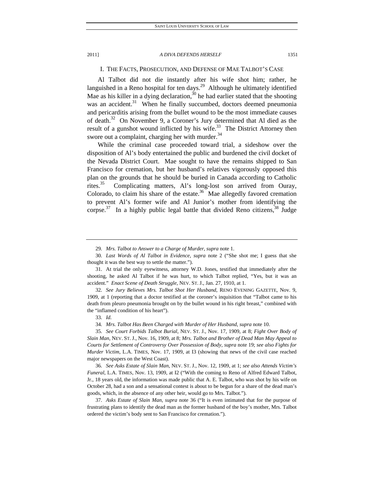#### I. THE FACTS, PROSECUTION, AND DEFENSE OF MAE TALBOT'S CASE

Al Talbot did not die instantly after his wife shot him; rather, he languished in a Reno hospital for ten days.<sup>29</sup> Although he ultimately identified Mae as his killer in a dying declaration,  $30$  he had earlier stated that the shooting was an accident.<sup>31</sup> When he finally succumbed, doctors deemed pneumonia and pericarditis arising from the bullet wound to be the most immediate causes of death.<sup>32</sup> On November 9, a Coroner's Jury determined that Al died as the result of a gunshot wound inflicted by his wife.<sup>33</sup> The District Attorney then swore out a complaint, charging her with murder.<sup>34</sup>

While the criminal case proceeded toward trial, a sideshow over the disposition of Al's body entertained the public and burdened the civil docket of the Nevada District Court. Mae sought to have the remains shipped to San Francisco for cremation, but her husband's relatives vigorously opposed this plan on the grounds that he should be buried in Canada according to Catholic rites.<sup>35</sup> Complicating matters, Al's long-lost son arrived from Ouray, Colorado, to claim his share of the estate.<sup>36</sup> Mae allegedly favored cremation to prevent Al's former wife and Al Junior's mother from identifying the corpse.<sup>37</sup> In a highly public legal battle that divided Reno citizens,  $38$  Judge

<sup>29</sup>*. Mrs. Talbot to Answer to a Charge of Murder*, *supra* note 1.

<sup>30</sup>*. Last Words of Al Talbot in Evidence*, *supra* note 2 ("She shot me; I guess that she thought it was the best way to settle the matter.").

 <sup>31.</sup> At trial the only eyewitness, attorney W.D. Jones, testified that immediately after the shooting, he asked Al Talbot if he was hurt, to which Talbot replied, "Yes, but it was an accident." *Enact Scene of Death Struggle*, NEV. ST. J., Jan. 27, 1910, at 1.

<sup>32</sup>*. See Jury Believes Mrs. Talbot Shot Her Husband*, RENO EVENING GAZETTE, Nov. 9, 1909, at 1 (reporting that a doctor testified at the coroner's inquisition that "Talbot came to his death from pleuro pneumonia brought on by the bullet wound in his right breast," combined with the "inflamed condition of his heart").

<sup>33</sup>*. Id.*

<sup>34</sup>*. Mrs. Talbot Has Been Charged with Murder of Her Husband*, *supra* note 10.

<sup>35</sup>*. See Court Forbids Talbot Burial*, NEV. ST. J., Nov. 17, 1909, at 8; *Fight Over Body of Slain Man*, NEV. ST. J., Nov. 16, 1909, at 8; *Mrs. Talbot and Brother of Dead Man May Appeal to Courts for Settlement of Controversy Over Possession of Body*, *supra* note 19; *see also Fights for Murder Victim*, L.A. TIMES, Nov. 17, 1909, at I3 (showing that news of the civil case reached major newspapers on the West Coast).

<sup>36</sup>*. See Asks Estate of Slain Man*, NEV. ST. J., Nov. 12, 1909, at 1; *see also Attends Victim's Funeral*, L.A. TIMES, Nov. 13, 1909, at I2 ("With the coming to Reno of Alfred Edward Talbot, Jr., 18 years old, the information was made public that A. E. Talbot, who was shot by his wife on October 28, had a son and a sensational contest is about to be begun for a share of the dead man's goods, which, in the absence of any other heir, would go to Mrs. Talbot.").

<sup>37</sup>*. Asks Estate of Slain Man*, *supra* note 36 ("It is even intimated that for the purpose of frustrating plans to identify the dead man as the former husband of the boy's mother, Mrs. Talbot ordered the victim's body sent to San Francisco for cremation.").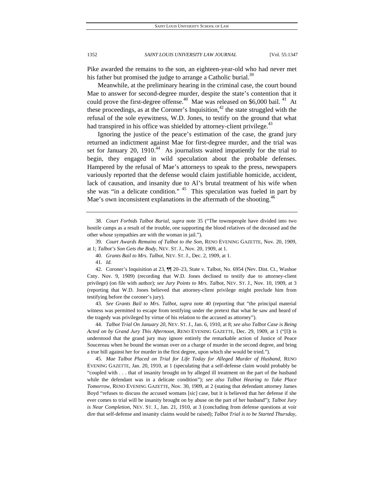Pike awarded the remains to the son, an eighteen-year-old who had never met his father but promised the judge to arrange a Catholic burial.<sup>39</sup>

Meanwhile, at the preliminary hearing in the criminal case, the court bound Mae to answer for second-degree murder, despite the state's contention that it could prove the first-degree offense.<sup>40</sup> Mae was released on \$6,000 bail.<sup>41</sup> At these proceedings, as at the Coroner's Inquisition, $42$  the state struggled with the refusal of the sole eyewitness, W.D. Jones, to testify on the ground that what had transpired in his office was shielded by attorney-client privilege.<sup>43</sup>

Ignoring the justice of the peace's estimation of the case, the grand jury returned an indictment against Mae for first-degree murder, and the trial was set for January 20,  $1910<sup>44</sup>$  As journalists waited impatiently for the trial to begin, they engaged in wild speculation about the probable defenses. Hampered by the refusal of Mae's attorneys to speak to the press, newspapers variously reported that the defense would claim justifiable homicide, accident, lack of causation, and insanity due to Al's brutal treatment of his wife when she was "in a delicate condition."  $45$  This speculation was fueled in part by Mae's own inconsistent explanations in the aftermath of the shooting.<sup>46</sup>

38*. Court Forbids Talbot Burial*, *supra* note 35 ("The townspeople have divided into two hostile camps as a result of the trouble, one supporting the blood relatives of the deceased and the other whose sympathies are with the woman in jail.").

39*. Court Awards Remains of Talbot to the Son*, RENO EVENING GAZETTE, Nov. 20, 1909, at 1; *Talbot's Son Gets the Body*, NEV. ST. J., Nov. 20, 1909, at 1.

 42. Coroner's Inquisition at 23, ¶¶ 20–23, State v. Talbot, No. 6954 (Nev. Dist. Ct., Washoe Cnty. Nov. 9, 1909) (recording that W.D. Jones declined to testify due to attorney-client privilege) (on file with author); *see Jury Points to Mrs. Talbot*, NEV. ST. J., Nov. 10, 1909, at 3 (reporting that W.D. Jones believed that attorney-client privilege might preclude him from testifying before the coroner's jury).

43*. See Grants Bail to Mrs. Talbot*, *supra* note 40 (reporting that "the principal material witness was permitted to escape from testifying under the pretext that what he saw and heard of the tragedy was privileged by virtue of his relation to the accused as attorney").

44*. Talbot Trial On January 20*, NEV. ST. J., Jan. 6, 1910, at 8; *see also Talbot Case is Being Acted on by Grand Jury This Afternoon*, RENO EVENING GAZETTE, Dec. 29, 1909, at 1 ("[I]t is understood that the grand jury may ignore entirely the remarkable action of Justice of Peace Soucereau when he bound the woman over on a charge of murder in the second degree, and bring a true bill against her for murder in the first degree, upon which she would be tried.").

45*. Mae Talbot Placed on Trial for Life Today for Alleged Murder of Husband*, RENO EVENING GAZETTE, Jan. 20, 1910, at 1 (speculating that a self-defense claim would probably be "coupled with . . . that of insanity brought on by alleged ill treatment on the part of the husband while the defendant was in a delicate condition"); *see also Talbot Hearing to Take Place Tomorrow*, RENO EVENING GAZETTE, Nov. 30, 1909, at 2 (stating that defendant attorney James Boyd "refuses to discuss the accused womans [sic] case, but it is believed that her defense if she ever comes to trial will be insanity brought on by abuse on the part of her husband"); *Talbot Jury is Near Completion*, NEV. ST. J., Jan. 21, 1910, at 3 (concluding from defense questions at voir dire that self-defense and insanity claims would be raised); *Talbot Trial is to be Started Thursday*,

<sup>40</sup>*. Grants Bail to Mrs. Talbot*, NEV. ST. J., Dec. 2, 1909, at 1.

<sup>41</sup>*. Id.*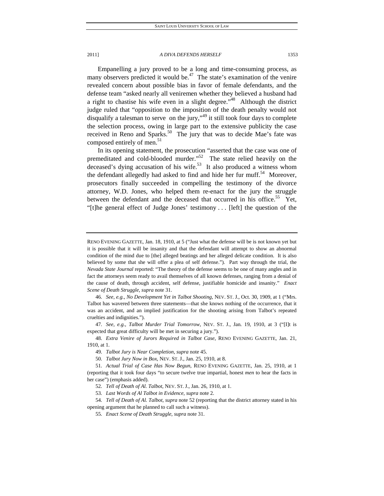Empanelling a jury proved to be a long and time-consuming process, as many observers predicted it would be.<sup>47</sup> The state's examination of the venire revealed concern about possible bias in favor of female defendants, and the defense team "asked nearly all veniremen whether they believed a husband had a right to chastise his wife even in a slight degree.<sup> $148$ </sup> Although the district judge ruled that "opposition to the imposition of the death penalty would not disqualify a talesman to serve on the jury,"<sup>49</sup> it still took four days to complete the selection process, owing in large part to the extensive publicity the case received in Reno and Sparks.<sup>50</sup> The jury that was to decide Mae's fate was composed entirely of men.<sup>51</sup>

In its opening statement, the prosecution "asserted that the case was one of premeditated and cold-blooded murder."<sup>52</sup> The state relied heavily on the deceased's dying accusation of his wife.<sup>53</sup> It also produced a witness whom the defendant allegedly had asked to find and hide her fur muff.<sup>54</sup> Moreover, prosecutors finally succeeded in compelling the testimony of the divorce attorney, W.D. Jones, who helped them re-enact for the jury the struggle between the defendant and the deceased that occurred in his office.<sup>55</sup> Yet, "[t]he general effect of Judge Jones' testimony . . . [left] the question of the

46*. See, e.g.*, *No Development Yet in Talbot Shooting*, NEV. ST. J., Oct. 30, 1909, at 1 ("Mrs. Talbot has wavered between three statements—that she knows nothing of the occurrence, that it was an accident, and an implied justification for the shooting arising from Talbot's repeated cruelties and indignities.").

47*. See, e.g.*, *Talbot Murder Trial Tomorrow*, NEV. ST. J., Jan. 19, 1910, at 3 ("[I]t is expected that great difficulty will be met in securing a jury.").

48*. Extra Venire of Jurors Required in Talbot Case*, RENO EVENING GAZETTE, Jan. 21, 1910, at 1.

50*. Talbot Jury Now in Box*, NEV. ST. J., Jan. 25, 1910, at 8.

53*. Last Words of Al Talbot in Evidence*, *supra* note 2.

54*. Tell of Death of Al. Talbot*, *supra* note 52 (reporting that the district attorney stated in his opening argument that he planned to call such a witness).

RENO EVENING GAZETTE, Jan. 18, 1910, at 5 ("Just what the defense will be is not known yet but it is possible that it will be insanity and that the defendant will attempt to show an abnormal condition of the mind due to [the] alleged beatings and her alleged delicate condition. It is also believed by some that she will offer a plea of self defense."). Part way through the trial, the *Nevada State Journal* reported: "The theory of the defense seems to be one of many angles and in fact the attorneys seem ready to avail themselves of all known defenses, ranging from a denial of the cause of death, through accident, self defense, justifiable homicide and insanity." *Enact Scene of Death Struggle*, *supra* note 31.

<sup>49</sup>*. Talbot Jury is Near Completion*, *supra* note 45.

<sup>51</sup>*. Actual Trial of Case Has Now Begun*, RENO EVENING GAZETTE, Jan. 25, 1910, at 1 (reporting that it took four days "to secure twelve true impartial, honest *men* to hear the facts in her case") (emphasis added).

<sup>52</sup>*. Tell of Death of Al. Talbot*, NEV. ST. J., Jan. 26, 1910, at 1.

<sup>55</sup>*. Enact Scene of Death Struggle*, *supra* note 31.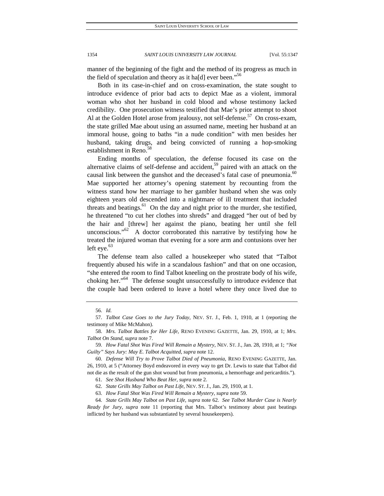manner of the beginning of the fight and the method of its progress as much in the field of speculation and theory as it hald ever been."<sup>56</sup>

Both in its case-in-chief and on cross-examination, the state sought to introduce evidence of prior bad acts to depict Mae as a violent, immoral woman who shot her husband in cold blood and whose testimony lacked credibility. One prosecution witness testified that Mae's prior attempt to shoot Al at the Golden Hotel arose from jealousy, not self-defense.<sup>57</sup> On cross-exam, the state grilled Mae about using an assumed name, meeting her husband at an immoral house, going to baths "in a nude condition" with men besides her husband, taking drugs, and being convicted of running a hop-smoking establishment in Reno.<sup>58</sup>

Ending months of speculation, the defense focused its case on the alternative claims of self-defense and accident,<sup>59</sup> paired with an attack on the causal link between the gunshot and the deceased's fatal case of pneumonia.<sup>60</sup> Mae supported her attorney's opening statement by recounting from the witness stand how her marriage to her gambler husband when she was only eighteen years old descended into a nightmare of ill treatment that included threats and beatings.<sup>61</sup> On the day and night prior to the murder, she testified, he threatened "to cut her clothes into shreds" and dragged "her out of bed by the hair and [threw] her against the piano, beating her until she fell unconscious." $62$  A doctor corroborated this narrative by testifying how he treated the injured woman that evening for a sore arm and contusions over her left eye. $63$ 

The defense team also called a housekeeper who stated that "Talbot frequently abused his wife in a scandalous fashion" and that on one occasion, "she entered the room to find Talbot kneeling on the prostrate body of his wife, choking her."<sup>64</sup> The defense sought unsuccessfully to introduce evidence that the couple had been ordered to leave a hotel where they once lived due to

<sup>56</sup>*. Id.*

<sup>57</sup>*. Talbot Case Goes to the Jury Today*, NEV. ST. J., Feb. 1, 1910, at 1 (reporting the testimony of Mike McMahon).

<sup>58</sup>*. Mrs. Talbot Battles for Her Life*, RENO EVENING GAZETTE, Jan. 29, 1910, at 1; *Mrs. Talbot On Stand*, *supra* note 7.

<sup>59</sup>*. How Fatal Shot Was Fired Will Remain a Mystery*, NEV. ST. J., Jan. 28, 1910, at 1; *"Not Guilty" Says Jury: May E. Talbot Acquitted*, *supra* note 12.

<sup>60</sup>*. Defense Will Try to Prove Talbot Died of Pneumonia*, RENO EVENING GAZETTE, Jan. 26, 1910, at 5 ("Attorney Boyd endeavored in every way to get Dr. Lewis to state that Talbot did not die as the result of the gun shot wound but from pneumonia, a hemorrhage and pericarditis.").

<sup>61</sup>*. See Shot Husband Who Beat Her*, *supra* note 2.

<sup>62</sup>*. State Grills May Talbot on Past Life*, NEV. ST. J., Jan. 29, 1910, at 1.

<sup>63</sup>*. How Fatal Shot Was Fired Will Remain a Mystery*, *supra* note 59.

<sup>64</sup>*. State Grills May Talbot on Past Life*, *supra* note 62. *See Talbot Murder Case is Nearly Ready for Jury*, *supra* note 11 (reporting that Mrs. Talbot's testimony about past beatings inflicted by her husband was substantiated by several housekeepers).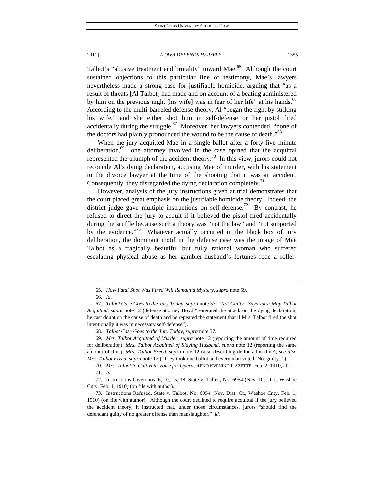Talbot's "abusive treatment and brutality" toward Mae.<sup>65</sup> Although the court sustained objections to this particular line of testimony, Mae's lawyers nevertheless made a strong case for justifiable homicide, arguing that "as a result of threats [Al Talbot] had made and on account of a beating administered by him on the previous night [his wife] was in fear of her life" at his hands.<sup>66</sup> According to the multi-barreled defense theory, Al "began the fight by striking his wife," and she either shot him in self-defense or her pistol fired accidentally during the struggle.<sup>67</sup> Moreover, her lawyers contended, "none of the doctors had plainly pronounced the wound to be the cause of death."<sup>68</sup>

When the jury acquitted Mae in a single ballot after a forty-five minute deliberation, $69$  one attorney involved in the case opined that the acquittal represented the triumph of the accident theory.<sup>70</sup> In this view, jurors could not reconcile Al's dying declaration, accusing Mae of murder, with his statement to the divorce lawyer at the time of the shooting that it was an accident. Consequently, they disregarded the dying declaration completely.<sup>71</sup>

However, analysis of the jury instructions given at trial demonstrates that the court placed great emphasis on the justifiable homicide theory. Indeed, the district judge gave multiple instructions on self-defense.<sup>72</sup> By contrast, he refused to direct the jury to acquit if it believed the pistol fired accidentally during the scuffle because such a theory was "not the law" and "not supported by the evidence."<sup>73</sup> Whatever actually occurred in the black box of jury deliberation, the dominant motif in the defense case was the image of Mae Talbot as a tragically beautiful but fully rational woman who suffered escalating physical abuse as her gambler-husband's fortunes rode a roller-

<sup>65</sup>*. How Fatal Shot Was Fired Will Remain a Mystery*, *supra* note 59.

<sup>66</sup>*. Id*.

<sup>67</sup>*. Talbot Case Goes to the Jury Today*, *supra* note 57; *"Not Guilty" Says Jury: May Talbot Acquitted*, *supra* note 12 (defense attorney Boyd "reiterated the attack on the dying declaration, he cast doubt on the cause of death and he repeated the statement that if Mrs. Talbot fired the shot intentionally it was in necessary self-defense").

<sup>68</sup>*. Talbot Case Goes to the Jury Today*, *supra* note 57.

<sup>69</sup>*. Mrs. Talbot Acquitted of Murder*, *supra* note 12 (reporting the amount of time required for deliberation); *Mrs. Talbot Acquitted of Slaying Husband*, *supra* note 12 (reporting the same amount of time); *Mrs. Talbot Freed*, *supra* note 12 (also describing deliberation time); *see also Mrs. Talbot Freed*, *supra* note 12 ("They took one ballot and every man voted 'Not guilty.'").

<sup>70</sup>*. Mrs. Talbot to Cultivate Voice for Opera*, RENO EVENING GAZETTE, Feb. 2, 1910, at 1.

<sup>71</sup>*. Id.*

 <sup>72.</sup> Instructions Given nos. 6, 10, 15, 18, State v. Talbot, No. 6954 (Nev. Dist. Ct., Washoe Cnty. Feb. 1, 1910) (on file with author).

 <sup>73.</sup> Instructions Refused, State v. Talbot, No. 6954 (Nev. Dist. Ct., Washoe Cnty. Feb. 1, 1910) (on file with author). Although the court declined to require acquittal if the jury believed the accident theory, it instructed that, under those circumstances, jurors "should find the defendant guilty of no greater offense than manslaughter." *Id.*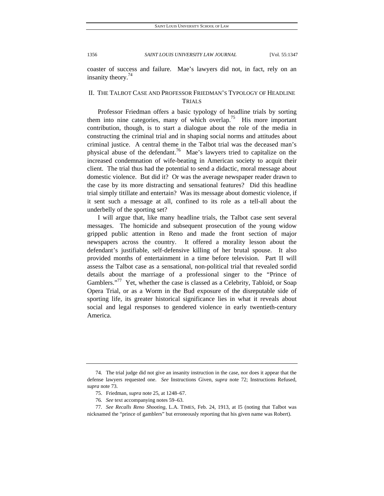coaster of success and failure. Mae's lawyers did not, in fact, rely on an insanity theory. $74$ 

## II. THE TALBOT CASE AND PROFESSOR FRIEDMAN'S TYPOLOGY OF HEADLINE TRIALS

Professor Friedman offers a basic typology of headline trials by sorting them into nine categories, many of which overlap.<sup>75</sup> His more important contribution, though, is to start a dialogue about the role of the media in constructing the criminal trial and in shaping social norms and attitudes about criminal justice. A central theme in the Talbot trial was the deceased man's physical abuse of the defendant.<sup>76</sup> Mae's lawyers tried to capitalize on the increased condemnation of wife-beating in American society to acquit their client. The trial thus had the potential to send a didactic, moral message about domestic violence. But did it? Or was the average newspaper reader drawn to the case by its more distracting and sensational features? Did this headline trial simply titillate and entertain? Was its message about domestic violence, if it sent such a message at all, confined to its role as a tell-all about the underbelly of the sporting set?

I will argue that, like many headline trials, the Talbot case sent several messages. The homicide and subsequent prosecution of the young widow gripped public attention in Reno and made the front section of major newspapers across the country. It offered a morality lesson about the defendant's justifiable, self-defensive killing of her brutal spouse. It also provided months of entertainment in a time before television. Part II will assess the Talbot case as a sensational, non-political trial that revealed sordid details about the marriage of a professional singer to the "Prince of Gamblers."<sup>77</sup> Yet, whether the case is classed as a Celebrity, Tabloid, or Soap Opera Trial, or as a Worm in the Bud exposure of the disreputable side of sporting life, its greater historical significance lies in what it reveals about social and legal responses to gendered violence in early twentieth-century America.

 <sup>74.</sup> The trial judge did not give an insanity instruction in the case, nor does it appear that the defense lawyers requested one. *See* Instructions Given, *supra* note 72; Instructions Refused, *supra* note 73.

 <sup>75.</sup> Friedman, *supra* note 25, at 1248–67.

<sup>76</sup>*. See* text accompanying notes 59–63.

<sup>77</sup>*. See Recalls Reno Shooting*, L.A. TIMES, Feb. 24, 1913, at I5 (noting that Talbot was nicknamed the "prince of gamblers" but erroneously reporting that his given name was Robert).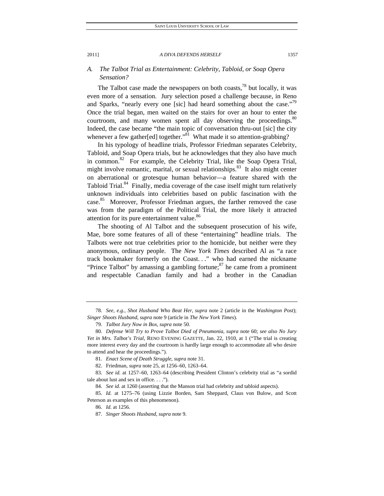## *A. The Talbot Trial as Entertainment: Celebrity, Tabloid, or Soap Opera Sensation?*

The Talbot case made the newspapers on both coasts, $^{78}$  but locally, it was even more of a sensation. Jury selection posed a challenge because, in Reno and Sparks, "nearly every one [sic] had heard something about the case."<sup>19</sup> Once the trial began, men waited on the stairs for over an hour to enter the courtroom, and many women spent all day observing the proceedings.<sup>80</sup> Indeed, the case became "the main topic of conversation thru-out [sic] the city whenever a few gather[ed] together."<sup>81</sup> What made it so attention-grabbing?

In his typology of headline trials, Professor Friedman separates Celebrity, Tabloid, and Soap Opera trials, but he acknowledges that they also have much in common.<sup>82</sup> For example, the Celebrity Trial, like the Soap Opera Trial, might involve romantic, marital, or sexual relationships.<sup>83</sup> It also might center on aberrational or grotesque human behavior—a feature shared with the Tabloid Trial.<sup>84</sup> Finally, media coverage of the case itself might turn relatively unknown individuals into celebrities based on public fascination with the case.<sup>85</sup> Moreover, Professor Friedman argues, the farther removed the case was from the paradigm of the Political Trial, the more likely it attracted attention for its pure entertainment value.<sup>86</sup>

The shooting of Al Talbot and the subsequent prosecution of his wife, Mae, bore some features of all of these "entertaining" headline trials. The Talbots were not true celebrities prior to the homicide, but neither were they anonymous, ordinary people. The *New York Times* described Al as "a race track bookmaker formerly on the Coast. . ." who had earned the nickname "Prince Talbot" by amassing a gambling fortune; $^{87}$  he came from a prominent and respectable Canadian family and had a brother in the Canadian

<sup>78</sup>*. See, e.g.*, *Shot Husband Who Beat Her*, *supra* note 2 (article in the *Washington Post*); *Singer Shoots Husband*, *supra* note 9 (article in *The New York Times*).

<sup>79</sup>*. Talbot Jury Now in Box*, *supra* note 50.

<sup>80</sup>*. Defense Will Try to Prove Talbot Died of Pneumonia*, *supra* note 60; *see also No Jury Yet in Mrs. Talbot's Trial*, RENO EVENING GAZETTE, Jan. 22, 1910, at 1 ("The trial is creating more interest every day and the courtroom is hardly large enough to accommodate all who desire to attend and hear the proceedings.").

<sup>81</sup>*. Enact Scene of Death Struggle*, *supra* note 31.

 <sup>82.</sup> Friedman, *supra* note 25, at 1256–60, 1263–64.

<sup>83</sup>*. See id.* at 1257–60, 1263–64 (describing President Clinton's celebrity trial as "a sordid tale about lust and sex in office. . . .").

<sup>84</sup>*. See id.* at 1260 (asserting that the Manson trial had celebrity and tabloid aspects).

<sup>85</sup>*. Id.* at 1275–76 (using Lizzie Borden, Sam Sheppard, Claus von Bulow, and Scott Peterson as examples of this phenomenon).

<sup>86</sup>*. Id.* at 1256.

<sup>87</sup>*. Singer Shoots Husband*, *supra* note 9.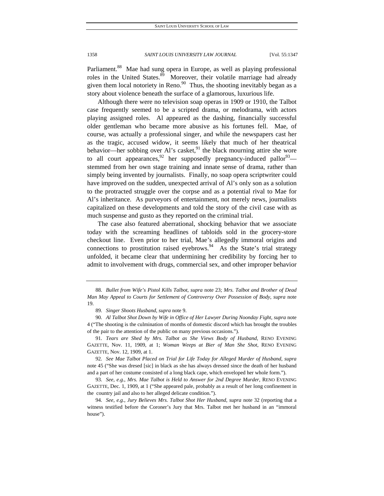Parliament.<sup>88</sup> Mae had sung opera in Europe, as well as playing professional roles in the United States.<sup>89</sup> Moreover, their volatile marriage had already given them local notoriety in Reno. $90$  Thus, the shooting inevitably began as a story about violence beneath the surface of a glamorous, luxurious life.

Although there were no television soap operas in 1909 or 1910, the Talbot case frequently seemed to be a scripted drama, or melodrama, with actors playing assigned roles. Al appeared as the dashing, financially successful older gentleman who became more abusive as his fortunes fell. Mae, of course, was actually a professional singer, and while the newspapers cast her as the tragic, accused widow, it seems likely that much of her theatrical behavior—her sobbing over Al's casket,  $91$ <sup>the</sup> black mourning attire she wore to all court appearances, <sup>92</sup> her supposedly pregnancy-induced pallor<sup>93</sup> stemmed from her own stage training and innate sense of drama, rather than simply being invented by journalists. Finally, no soap opera scriptwriter could have improved on the sudden, unexpected arrival of Al's only son as a solution to the protracted struggle over the corpse and as a potential rival to Mae for Al's inheritance. As purveyors of entertainment, not merely news, journalists capitalized on these developments and told the story of the civil case with as much suspense and gusto as they reported on the criminal trial.

The case also featured aberrational, shocking behavior that we associate today with the screaming headlines of tabloids sold in the grocery-store checkout line. Even prior to her trial, Mae's allegedly immoral origins and connections to prostitution raised eyebrows.<sup>94</sup> As the State's trial strategy unfolded, it became clear that undermining her credibility by forcing her to admit to involvement with drugs, commercial sex, and other improper behavior

<sup>88</sup>*. Bullet from Wife's Pistol Kills Talbot*, *supra* note 23; *Mrs. Talbot and Brother of Dead Man May Appeal to Courts for Settlement of Controversy Over Possession of Body*, *supra* note 19.

<sup>89</sup>*. Singer Shoots Husband*, *supra* note 9.

<sup>90</sup>*. Al Talbot Shot Down by Wife in Office of Her Lawyer During Noonday Fight*, *supra* note 4 ("The shooting is the culmination of months of domestic discord which has brought the troubles of the pair to the attention of the public on many previous occasions.").

<sup>91</sup>*. Tears are Shed by Mrs. Talbot as She Views Body of Husband*, RENO EVENING GAZETTE, Nov. 11, 1909, at 1; *Woman Weeps at Bier of Man She Shot*, RENO EVENING GAZETTE, Nov. 12, 1909, at 1.

<sup>92</sup>*. See Mae Talbot Placed on Trial for Life Today for Alleged Murder of Husband*, *supra* note 45 ("She was dresed [sic] in black as she has always dressed since the death of her husband and a part of her costume consisted of a long black cape, which enveloped her whole form.").

<sup>93</sup>*. See, e.g.*, *Mrs. Mae Talbot is Held to Answer for 2nd Degree Murder*, RENO EVENING GAZETTE, Dec. 1, 1909, at 1 ("She appeared pale, probably as a result of her long confinement in the country jail and also to her alleged delicate condition.").

<sup>94</sup>*. See, e.g.*, *Jury Believes Mrs. Talbot Shot Her Husband*, *supra* note 32 (reporting that a witness testified before the Coroner's Jury that Mrs. Talbot met her husband in an "immoral house").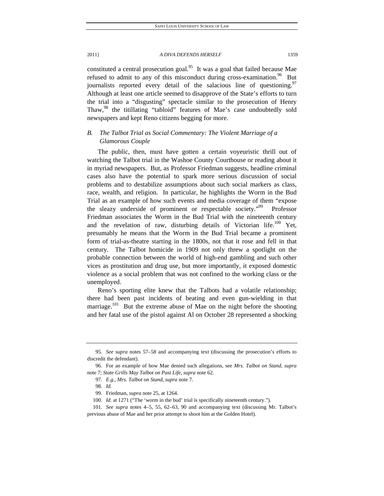constituted a central prosecution goal.<sup>95</sup> It was a goal that failed because Mae refused to admit to any of this misconduct during cross-examination.<sup>96</sup> But journalists reported every detail of the salacious line of questioning.<sup>97</sup> Although at least one article seemed to disapprove of the State's efforts to turn the trial into a "disgusting" spectacle similar to the prosecution of Henry Thaw,<sup>98</sup> the titillating "tabloid" features of Mae's case undoubtedly sold newspapers and kept Reno citizens begging for more.

## *B. The Talbot Trial as Social Commentary: The Violent Marriage of a Glamorous Couple*

The public, then, must have gotten a certain voyeuristic thrill out of watching the Talbot trial in the Washoe County Courthouse or reading about it in myriad newspapers. But, as Professor Friedman suggests, headline criminal cases also have the potential to spark more serious discussion of social problems and to destabilize assumptions about such social markers as class, race, wealth, and religion. In particular, he highlights the Worm in the Bud Trial as an example of how such events and media coverage of them "expose the sleazy underside of prominent or respectable society."<sup>99</sup> Professor Friedman associates the Worm in the Bud Trial with the nineteenth century and the revelation of raw, disturbing details of Victorian life.<sup>100</sup> Yet, presumably he means that the Worm in the Bud Trial became a prominent form of trial-as-theatre starting in the 1800s, not that it rose and fell in that century. The Talbot homicide in 1909 not only threw a spotlight on the probable connection between the world of high-end gambling and such other vices as prostitution and drug use, but more importantly, it exposed domestic violence as a social problem that was not confined to the working class or the unemployed.

Reno's sporting elite knew that the Talbots had a volatile relationship; there had been past incidents of beating and even gun-wielding in that marriage.<sup>101</sup> But the extreme abuse of Mae on the night before the shooting and her fatal use of the pistol against Al on October 28 represented a shocking

<sup>95</sup>*. See supra* notes 57–58 and accompanying text (discussing the prosecution's efforts to discredit the defendant).

 <sup>96.</sup> For an example of how Mae denied such allegations, see *Mrs. Talbot on Stand*, *supra* note 7; *State Grills May Talbot on Past Life*, *supra* note 62.

<sup>97</sup>*. E.g.*, *Mrs. Talbot on Stand*, *supra* note 7.

<sup>98</sup>*. Id.*

 <sup>99.</sup> Friedman, *supra* note 25, at 1264.

<sup>100</sup>*. Id*. at 1271 ("The 'worm in the bud' trial is specifically nineteenth century.").

<sup>101</sup>*. See supra* notes 4–5, 55, 62–63, 90 and accompanying text (discussing Mr. Talbot's previous abuse of Mae and her prior attempt to shoot him at the Golden Hotel).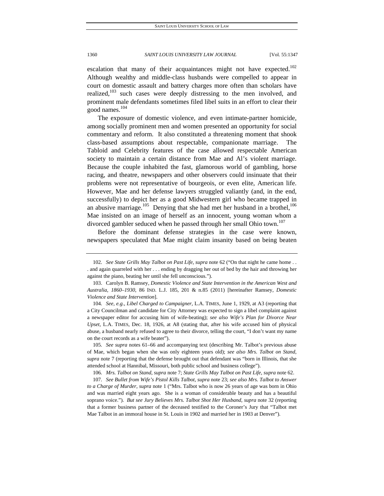escalation that many of their acquaintances might not have expected.<sup>102</sup> Although wealthy and middle-class husbands were compelled to appear in court on domestic assault and battery charges more often than scholars have realized, $103$  such cases were deeply distressing to the men involved, and prominent male defendants sometimes filed libel suits in an effort to clear their good names. $104$ 

The exposure of domestic violence, and even intimate-partner homicide, among socially prominent men and women presented an opportunity for social commentary and reform. It also constituted a threatening moment that shook class-based assumptions about respectable, companionate marriage. The Tabloid and Celebrity features of the case allowed respectable American society to maintain a certain distance from Mae and Al's violent marriage. Because the couple inhabited the fast, glamorous world of gambling, horse racing, and theatre, newspapers and other observers could insinuate that their problems were not representative of bourgeois, or even elite, American life. However, Mae and her defense lawyers struggled valiantly (and, in the end, successfully) to depict her as a good Midwestern girl who became trapped in an abusive marriage.<sup>105</sup> Denying that she had met her husband in a brothel,<sup>106</sup> Mae insisted on an image of herself as an innocent, young woman whom a divorced gambler seduced when he passed through her small Ohio town.<sup>107</sup>

Before the dominant defense strategies in the case were known, newspapers speculated that Mae might claim insanity based on being beaten

<sup>102</sup>*. See State Grills May Talbot on Past Life*, *supra* note 62 ("On that night he came home . . . and again quarreled with her . . . ending by dragging her out of bed by the hair and throwing her against the piano, beating her until she fell unconscious.").

 <sup>103.</sup> Carolyn B. Ramsey, *Domestic Violence and State Intervention in the American West and Australia, 1860–1930*, 86 IND. L.J. 185, 201 & n.85 (2011) [hereinafter Ramsey, *Domestic Violence and State Intervention*].

<sup>104</sup>*. See, e.g.*, *Libel Charged to Campaigner*, L.A. TIMES, June 1, 1929, at A3 (reporting that a City Councilman and candidate for City Attorney was expected to sign a libel complaint against a newspaper editor for accusing him of wife-beating); *see also Wife's Plan for Divorce Near Upset*, L.A. TIMES, Dec. 18, 1926, at A8 (stating that, after his wife accused him of physical abuse, a husband nearly refused to agree to their divorce, telling the court, "I don't want my name on the court records as a wife beater").

<sup>105</sup>*. See supra* notes 61–66 and accompanying text (describing Mr. Talbot's previous abuse of Mae, which began when she was only eighteen years old); *see also Mrs. Talbot on Stand*, *supra* note 7 (reporting that the defense brought out that defendant was "born in Illinois, that she attended school at Hannibal, Missouri, both public school and business college").

<sup>106</sup>*. Mrs. Talbot on Stand*, *supra* note 7; *State Grills May Talbot on Past Life*, *supra* note 62.

<sup>107</sup>*. See Bullet from Wife's Pistol Kills Talbot*, *supra* note 23; *see also Mrs. Talbot to Answer to a Charge of Murder*, *supra* note 1 ("Mrs. Talbot who is now 26 years of age was born in Ohio and was married eight years ago. She is a woman of considerable beauty and has a beautiful soprano voice."). *But see Jury Believes Mrs. Talbot Shot Her Husband*, *supra* note 32 (reporting that a former business partner of the deceased testified to the Coroner's Jury that "Talbot met Mae Talbot in an immoral house in St. Louis in 1902 and married her in 1903 at Denver").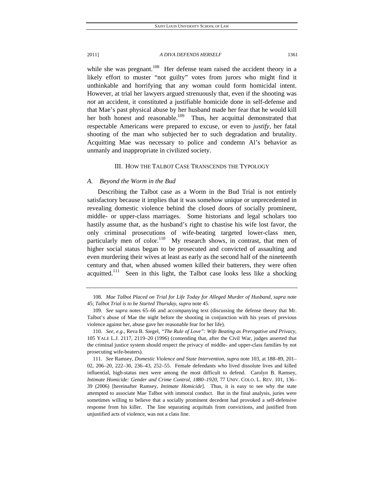while she was pregnant.<sup>108</sup> Her defense team raised the accident theory in a likely effort to muster "not guilty" votes from jurors who might find it unthinkable and horrifying that any woman could form homicidal intent. However, at trial her lawyers argued strenuously that, even if the shooting was *not* an accident, it constituted a justifiable homicide done in self-defense and that Mae's past physical abuse by her husband made her fear that he would kill her both honest and reasonable.<sup>109</sup> Thus, her acquittal demonstrated that

respectable Americans were prepared to excuse, or even to *justify*, her fatal shooting of the man who subjected her to such degradation and brutality. Acquitting Mae was necessary to police and condemn Al's behavior as unmanly and inappropriate in civilized society.

#### III. HOW THE TALBOT CASE TRANSCENDS THE TYPOLOGY

#### *A. Beyond the Worm in the Bud*

Describing the Talbot case as a Worm in the Bud Trial is not entirely satisfactory because it implies that it was somehow unique or unprecedented in revealing domestic violence behind the closed doors of socially prominent, middle- or upper-class marriages. Some historians and legal scholars too hastily assume that, as the husband's right to chastise his wife lost favor, the only criminal prosecutions of wife-beating targeted lower-class men, particularly men of color.<sup>110</sup> My research shows, in contrast, that men of higher social status began to be prosecuted and convicted of assaulting and even murdering their wives at least as early as the second half of the nineteenth century and that, when abused women killed their batterers, they were often acquitted.<sup>111</sup> Seen in this light, the Talbot case looks less like a shocking

<sup>108</sup>*. Mae Talbot Placed on Trial for Life Today for Alleged Murder of Husband*, *supra* note 45; *Talbot Trial is to be Started Thursday*, *supra* note 45.

<sup>109</sup>*. See supra* notes 65–66 and accompanying text (discussing the defense theory that Mr. Talbot's abuse of Mae the night before the shooting in conjunction with his years of previous violence against her, abuse gave her reasonable fear for her life).

<sup>110</sup>*. See, e.g*., Reva B. Siegel, *"The Rule of Love": Wife Beating as Prerogative and Privacy*, 105 YALE L.J. 2117, 2119–20 (1996) (contending that, after the Civil War, judges asserted that the criminal justice system should respect the privacy of middle- and upper-class families by not prosecuting wife-beaters).

<sup>111</sup>*. See* Ramsey, *Domestic Violence and State Intervention*, *supra* note 103, at 188–89, 201– 02, 206–20, 222–30, 236–43, 252–55. Female defendants who lived dissolute lives and killed influential, high-status men were among the most difficult to defend. Carolyn B. Ramsey, *Intimate Homicide: Gender and Crime Control, 1880–1920*, 77 UNIV. COLO. L. REV. 101, 136– 39 (2006) [hereinafter Ramsey, *Intimate Homicide*]. Thus, it is easy to see why the state attempted to associate Mae Talbot with immoral conduct. But in the final analysis, juries were sometimes willing to believe that a socially prominent decedent had provoked a self-defensive response from his killer. The line separating acquittals from convictions, and justified from unjustified acts of violence, was not a class line.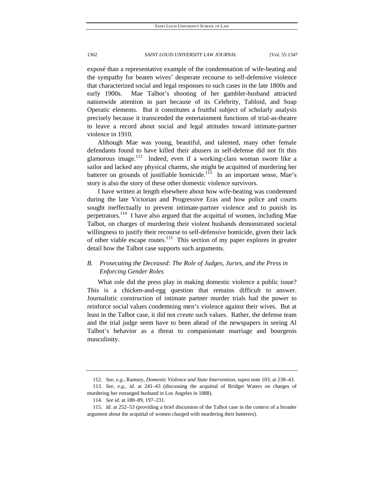exposé than a representative example of the condemnation of wife-beating and the sympathy for beaten wives' desperate recourse to self-defensive violence that characterized social and legal responses to such cases in the late 1800s and early 1900s. Mae Talbot's shooting of her gambler-husband attracted nationwide attention in part because of its Celebrity, Tabloid, and Soap Operatic elements. But it constitutes a fruitful subject of scholarly analysis precisely because it transcended the entertainment functions of trial-as-theatre to leave a record about social and legal attitudes toward intimate-partner violence in 1910.

Although Mae was young, beautiful, and talented, many other female defendants found to have killed their abusers in self-defense did not fit this glamorous image.112 Indeed, even if a working-class woman swore like a sailor and lacked any physical charms, she might be acquitted of murdering her batterer on grounds of justifiable homicide. $113$  In an important sense, Mae's story is also the story of these other domestic violence survivors.

I have written at length elsewhere about how wife-beating was condemned during the late Victorian and Progressive Eras and how police and courts sought ineffectually to prevent intimate-partner violence and to punish its perpetrators.<sup>114</sup> I have also argued that the acquittal of women, including Mae Talbot, on charges of murdering their violent husbands demonstrated societal willingness to justify their recourse to self-defensive homicide, given their lack of other viable escape routes.<sup>115</sup> This section of my paper explores in greater detail how the Talbot case supports such arguments.

## *B. Prosecuting the Deceased: The Role of Judges, Juries, and the Press in Enforcing Gender Roles*

What role did the press play in making domestic violence a public issue? This is a chicken-and-egg question that remains difficult to answer. Journalistic construction of intimate partner murder trials had the power to reinforce social values condemning men's violence against their wives. But at least in the Talbot case, it did not *create* such values. Rather, the defense team and the trial judge seem have to been ahead of the newspapers in seeing Al Talbot's behavior as a threat to companionate marriage and bourgeois masculinity.

<sup>112</sup>*. See, e.g*., Ramsey, *Domestic Violence and State Intervention*, *supra* note 103, at 238–43.

<sup>113</sup>*. See, e.g*., *id.* at 241–43 (discussing the acquittal of Bridget Waters on charges of murdering her estranged husband in Los Angeles in 1888).

<sup>114</sup>*. See id*. at 188–89, 197–231.

<sup>115</sup>*. Id*. at 252–53 (providing a brief discussion of the Talbot case in the context of a broader argument about the acquittal of women charged with murdering their batterers).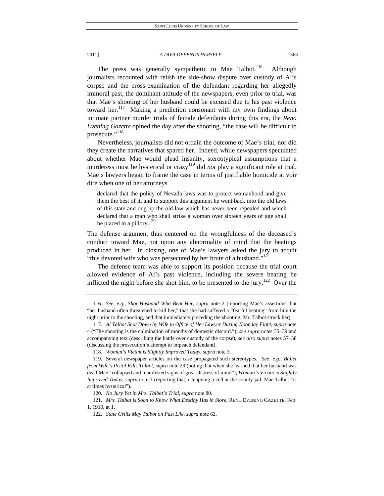The press was generally sympathetic to Mae Talbot.<sup>116</sup> Although journalists recounted with relish the side-show dispute over custody of Al's corpse and the cross-examination of the defendant regarding her allegedly immoral past, the dominant attitude of the newspapers, even prior to trial, was that Mae's shooting of her husband could be excused due to his past violence toward her.<sup>117</sup> Making a prediction consonant with my own findings about intimate partner murder trials of female defendants during this era, the *Reno Evening Gazette* opined the day after the shooting, "the case will be difficult to prosecute."<sup>118</sup>

Nevertheless, journalists did not ordain the outcome of Mae's trial, nor did they create the narratives that spared her. Indeed, while newspapers speculated about whether Mae would plead insanity, stereotypical assumptions that a murderess must be hysterical or crazy<sup>119</sup> did *not* play a significant role at trial. Mae's lawyers began to frame the case in terms of justifiable homicide at voir dire when one of her attorneys

declared that the policy of Nevada laws was to protect womanhood and give them the best of it, and to support this argument he went back into the old laws of this state and dug up the old law which has never been repealed and which declared that a man who shall strike a woman over sixteen years of age shall be placed in a pillory.<sup>120</sup>

The defense argument thus centered on the wrongfulness of the deceased's conduct toward Mae, not upon any abnormality of mind that the beatings produced in her. In closing, one of Mae's lawyers asked the jury to acquit "this devoted wife who was persecuted by her brute of a husband."<sup>121</sup>

The defense team was able to support its position because the trial court allowed evidence of Al's past violence, including the severe beating he inflicted the night before she shot him, to be presented to the jury.<sup>122</sup> Over the

<sup>116</sup>*. See, e.g.*, *Shot Husband Who Beat Her, supra* note 2 (reporting Mae's assertions that "her husband often threatened to kill her," that she had suffered a "fearful beating" from him the night prior to the shooting, and that immediately preceding the shooting, Mr. Talbot struck her).

<sup>117</sup>*. Al Talbot Shot Down by Wife in Office of Her Lawyer During Noonday Fight*, *supra* note 4 ("The shooting is the culmination of months of domestic discord."); *see supra* notes 35–39 and accompanying text (describing the battle over custody of the corpse); *see also supra* notes 57–58 (discussing the prosecution's attempt to impeach defendant).

<sup>118</sup>*. Woman's Victim is Slightly Improved Today*, *supra* note 3.

 <sup>119.</sup> Several newspaper articles on the case propagated such stereotypes. *See, e.g.*, *Bullet from Wife's Pistol Kills Talbot*, *supra* note 23 (noting that when she learned that her husband was dead Mae "collapsed and manifested signs of great distress of mind"); *Woman's Victim is Slightly Improved Today*, *supra* note 3 (reporting that, occupying a cell at the county jail, Mae Talbot "is at times hysterical").

<sup>120</sup>*. No Jury Yet in Mrs. Talbot's Trial*, *supra* note 80.

<sup>121</sup>*. Mrs. Talbot is Soon to Know What Destiny Has in Store*, RENO EVENING GAZETTE, Feb. 1, 1910, at 1.

<sup>122</sup>*. State Grills May Talbot on Past Life*, *supra* note 62.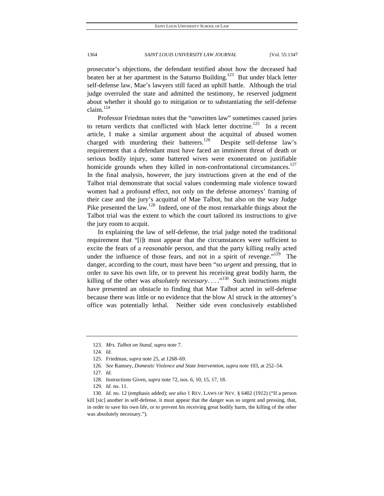prosecutor's objections, the defendant testified about how the deceased had beaten her at her apartment in the Saturno Building.<sup>123</sup> But under black letter self-defense law, Mae's lawyers still faced an uphill battle. Although the trial judge overruled the state and admitted the testimony, he reserved judgment about whether it should go to mitigation or to substantiating the self-defense claim.<sup>124</sup>

Professor Friedman notes that the "unwritten law" sometimes caused juries to return verdicts that conflicted with black letter doctrine.<sup>125</sup> In a recent article, I make a similar argument about the acquittal of abused women charged with murdering their batterers.<sup>126</sup> Despite self-defense law's requirement that a defendant must have faced an imminent threat of death or serious bodily injury, some battered wives were exonerated on justifiable homicide grounds when they killed in non-confrontational circumstances.<sup>127</sup> In the final analysis, however, the jury instructions given at the end of the Talbot trial demonstrate that social values condemning male violence toward women had a profound effect, not only on the defense attorneys' framing of their case and the jury's acquittal of Mae Talbot, but also on the way Judge Pike presented the law.<sup>128</sup> Indeed, one of the most remarkable things about the Talbot trial was the extent to which the court tailored its instructions to give the jury room to acquit.

In explaining the law of self-defense, the trial judge noted the traditional requirement that "[i]t must appear that the circumstances were sufficient to excite the fears of a *reasonable* person, and that the party killing really acted under the influence of those fears, and not in a spirit of revenge."<sup>129</sup> The danger, according to the court, must have been "so *urgent* and pressing, that in order to save his own life, or to prevent his receiving great bodily harm, the killing of the other was *absolutely necessary.* . . .<sup>"130</sup> Such instructions might have presented an obstacle to finding that Mae Talbot acted in self-defense because there was little or no evidence that the blow Al struck in the attorney's office was potentially lethal. Neither side even conclusively established

<sup>123</sup>*. Mrs. Talbot on Stand*, *supra* note 7.

<sup>124</sup>*. Id.*

 <sup>125.</sup> Friedman, *supra* note 25, at 1268–69.

<sup>126</sup>*. See* Ramsey, *Domestic Violence and State Intervention*, *supra* note 103, at 252–54.

<sup>127</sup>*. Id.*

 <sup>128.</sup> Instructions Given, *supra* note 72, nos. 6, 10, 15, 17, 18.

 <sup>129.</sup> *Id.* no. 11.

<sup>130</sup>*. Id*. no. 12 (emphasis added); *see also* 1 REV. LAWS OF NEV. § 6402 (1912) ("If a person kill [sic] another in self-defense, it must appear that the danger was so urgent and pressing, that, in order to save his own life, or to prevent his receiving great bodily harm, the killing of the other was absolutely necessary.").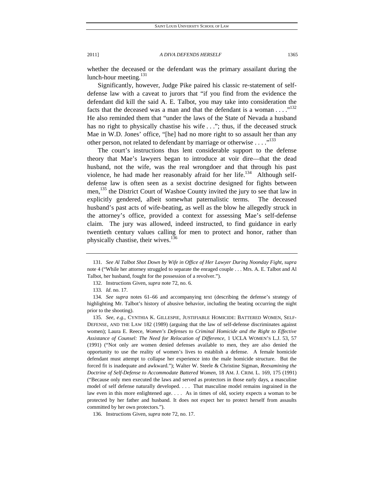whether the deceased or the defendant was the primary assailant during the lunch-hour meeting.<sup>131</sup>

Significantly, however, Judge Pike paired his classic re-statement of selfdefense law with a caveat to jurors that "if you find from the evidence the defendant did kill the said A. E. Talbot, you may take into consideration the facts that the deceased was a man and that the defendant is a woman  $\dots$ ."<sup>132</sup> He also reminded them that "under the laws of the State of Nevada a husband has no right to physically chastise his wife . . ."; thus, if the deceased struck Mae in W.D. Jones' office, "[he] had no more right to so assault her than any other person, not related to defendant by marriage or otherwise  $\dots$ .<sup>133</sup>

The court's instructions thus lent considerable support to the defense theory that Mae's lawyers began to introduce at voir dire—that the dead husband, not the wife, was the real wrongdoer and that through his past violence, he had made her reasonably afraid for her life.<sup>134</sup> Although selfdefense law is often seen as a sexist doctrine designed for fights between men,<sup>135</sup> the District Court of Washoe County invited the jury to see that law in explicitly gendered, albeit somewhat paternalistic terms. The deceased husband's past acts of wife-beating, as well as the blow he allegedly struck in the attorney's office, provided a context for assessing Mae's self-defense claim. The jury was allowed, indeed instructed, to find guidance in early twentieth century values calling for men to protect and honor, rather than physically chastise, their wives.<sup>136</sup>

132. Instructions Given, *supra* note 72, no. 6.

136. Instructions Given, *supra* note 72, no. 17.

<sup>131</sup>*. See Al Talbot Shot Down by Wife in Office of Her Lawyer During Noonday Fight*, *supra* note 4 ("While her attorney struggled to separate the enraged couple . . . Mrs. A. E. Talbot and Al Talbot, her husband, fought for the possession of a revolver.").

<sup>133</sup>*. Id*. no. 17.

<sup>134</sup>*. See supra* notes 61–66 and accompanying text (describing the defense's strategy of highlighting Mr. Talbot's history of abusive behavior, including the beating occurring the night prior to the shooting).

<sup>135</sup>*. See, e.g*., CYNTHIA K. GILLESPIE, JUSTIFIABLE HOMICIDE: BATTERED WOMEN, SELF-DEFENSE, AND THE LAW 182 (1989) (arguing that the law of self-defense discriminates against women); Laura E. Reece, *Women's Defenses to Criminal Homicide and the Right to Effective Assistance of Counsel: The Need for Relocation of Difference*, 1 UCLA WOMEN'S L.J. 53, 57 (1991) ("Not only are women denied defenses available to men, they are also denied the opportunity to use the reality of women's lives to establish a defense. A female homicide defendant must attempt to collapse her experience into the male homicide structure. But the forced fit is inadequate and awkward."); Walter W. Steele & Christine Sigman, *Reexamining the Doctrine of Self-Defense to Accommodate Battered Women*, 18 AM. J. CRIM. L. 169, 175 (1991) ("Because only men executed the laws and served as protectors in those early days, a masculine model of self defense naturally developed. . . . That masculine model remains ingrained in the law even in this more enlightened age. . . . As in times of old, society expects a woman to be protected by her father and husband. It does not expect her to protect herself from assaults committed by her own protectors.").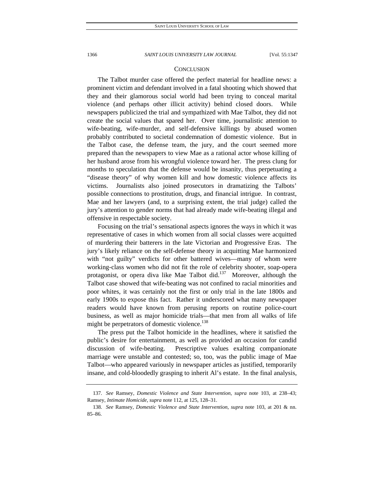#### **CONCLUSION**

The Talbot murder case offered the perfect material for headline news: a prominent victim and defendant involved in a fatal shooting which showed that they and their glamorous social world had been trying to conceal marital violence (and perhaps other illicit activity) behind closed doors. While newspapers publicized the trial and sympathized with Mae Talbot, they did not create the social values that spared her. Over time, journalistic attention to wife-beating, wife-murder, and self-defensive killings by abused women probably contributed to societal condemnation of domestic violence. But in the Talbot case, the defense team, the jury, and the court seemed more prepared than the newspapers to view Mae as a rational actor whose killing of her husband arose from his wrongful violence toward her. The press clung for months to speculation that the defense would be insanity, thus perpetuating a "disease theory" of why women kill and how domestic violence affects its victims. Journalists also joined prosecutors in dramatizing the Talbots' possible connections to prostitution, drugs, and financial intrigue. In contrast, Mae and her lawyers (and, to a surprising extent, the trial judge) called the jury's attention to gender norms that had already made wife-beating illegal and offensive in respectable society.

Focusing on the trial's sensational aspects ignores the ways in which it was representative of cases in which women from all social classes were acquitted of murdering their batterers in the late Victorian and Progressive Eras. The jury's likely reliance on the self-defense theory in acquitting Mae harmonized with "not guilty" verdicts for other battered wives—many of whom were working-class women who did not fit the role of celebrity shooter, soap-opera protagonist, or opera diva like Mae Talbot did. $137$  Moreover, although the Talbot case showed that wife-beating was not confined to racial minorities and poor whites, it was certainly not the first or only trial in the late 1800s and early 1900s to expose this fact. Rather it underscored what many newspaper readers would have known from perusing reports on routine police-court business, as well as major homicide trials—that men from all walks of life might be perpetrators of domestic violence.<sup>138</sup>

The press put the Talbot homicide in the headlines, where it satisfied the public's desire for entertainment, as well as provided an occasion for candid discussion of wife-beating. Prescriptive values exalting companionate marriage were unstable and contested; so, too, was the public image of Mae Talbot—who appeared variously in newspaper articles as justified, temporarily insane, and cold-bloodedly grasping to inherit Al's estate. In the final analysis,

<sup>137</sup>*. See* Ramsey, *Domestic Violence and State Intervention*, *supra* note 103, at 238–43; Ramsey, *Intimate Homicide*, *supra* note 112, at 125, 128–31.

<sup>138</sup>*. See* Ramsey, *Domestic Violence and State Intervention*, *supra* note 103, at 201 & nn. 85–86.